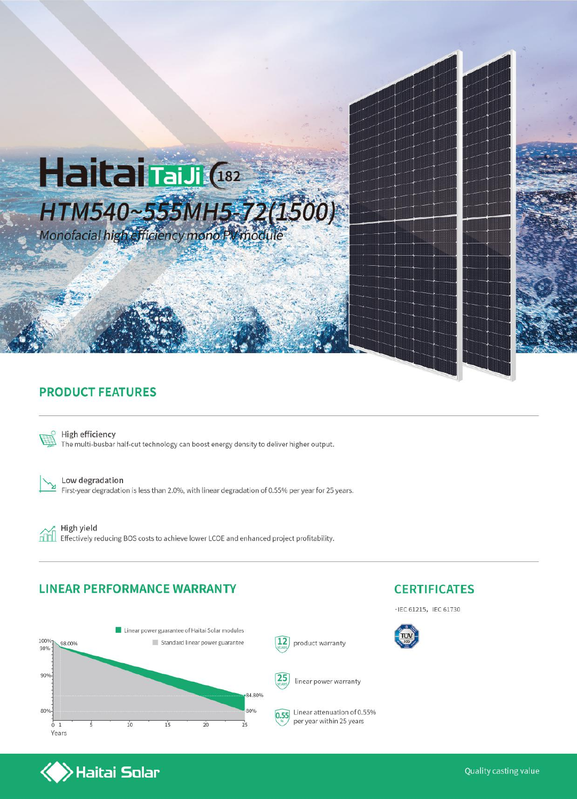

### **PRODUCT FEATURES**



High efficiency The multi-busbar half-cut technology can boost energy density to deliver higher output.

Low degradation First-year degradation is less than 2.0%, with linear degradation of 0.55% per year for 25 years.

ńm

High yield Effectively reducing BOS costs to achieve lower LCOE and enhanced project profitability.

#### **LINEAR PERFORMANCE WARRANTY**

 $\left\langle \right\rangle$ Haitai Solar





· IEC 61215, IEC 61730